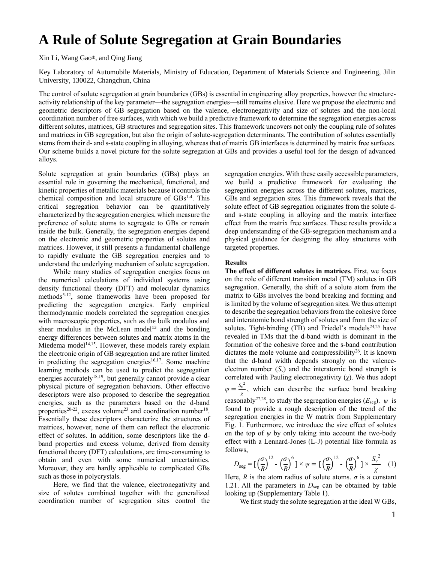# **A Rule of Solute Segregation at Grain Boundaries**

Xin Li, Wang Gao∗, and Qing Jiang

Key Laboratory of Automobile Materials, Ministry of Education, Department of Materials Science and Engineering, Jilin University, 130022, Changchun, China

The control of solute segregation at grain boundaries (GBs) is essential in engineering alloy properties, however the structureactivity relationship of the key parameter—the segregation energies—still remains elusive. Here we propose the electronic and geometric descriptors of GB segregation based on the valence, electronegativity and size of solutes and the non-local coordination number of free surfaces, with which we build a predictive framework to determine the segregation energies across different solutes, matrices, GB structures and segregation sites. This framework uncovers not only the coupling rule of solutes and matrices in GB segregation, but also the origin of solute-segregation determinants. The contribution of solutes essentially stems from their d- and s-state coupling in alloying, whereas that of matrix GB interfaces is determined by matrix free surfaces. Our scheme builds a novel picture for the solute segregation at GBs and provides a useful tool for the design of advanced alloys.

Solute segregation at grain boundaries (GBs) plays an essential role in governing the mechanical, functional, and kinetic properties of metallic materials because it controls the chemical composition and local structure of GBs<sup>1-4</sup>. This critical segregation behavior can be quantitatively characterized by the segregation energies, which measure the preference of solute atoms to segregate to GBs or remain inside the bulk. Generally, the segregation energies depend on the electronic and geometric properties of solutes and matrices. However, it still presents a fundamental challenge to rapidly evaluate the GB segregation energies and to understand the underlying mechanism of solute segregation.

While many studies of segregation energies focus on the numerical calculations of individual systems using density functional theory (DFT) and molecular dynamics methods<sup>5-12</sup>, some frameworks have been proposed for predicting the segregation energies. Early empirical thermodynamic models correlated the segregation energies with macroscopic properties, such as the bulk modulus and shear modulus in the McLean model<sup>13</sup> and the bonding energy differences between solutes and matrix atoms in the Miedema model<sup>14,15</sup>. However, these models rarely explain the electronic origin of GB segregation and are rather limited in predicting the segregation energies<sup>16,17</sup>. Some machine learning methods can be used to predict the segregation energies accurately $18,19$ , but generally cannot provide a clear physical picture of segregation behaviors. Other effective descriptors were also proposed to describe the segregation energies, such as the parameters based on the d-band properties<sup>20-22</sup>, excess volume<sup>23</sup> and coordination number<sup>18</sup>. Essentially these descriptors characterize the structures of matrices, however, none of them can reflect the electronic effect of solutes. In addition, some descriptors like the dband properties and excess volume, derived from density functional theory (DFT) calculations, are time-consuming to obtain and even with some numerical uncertainties. Moreover, they are hardly applicable to complicated GBs such as those in polycrystals.

Here, we find that the valence, electronegativity and size of solutes combined together with the generalized coordination number of segregation sites control the segregation energies. With these easily accessible parameters, we build a predictive framework for evaluating the segregation energies across the different solutes, matrices, GBs and segregation sites. This framework reveals that the solute effect of GB segregation originates from the solute dand s-state coupling in alloying and the matrix interface effect from the matrix free surfaces. These results provide a deep understanding of the GB-segregation mechanism and a physical guidance for designing the alloy structures with targeted properties.

# **Results**

**The effect of different solutes in matrices.** First, we focus on the role of different transition metal (TM) solutes in GB segregation. Generally, the shift of a solute atom from the matrix to GBs involves the bond breaking and forming and is limited by the volume of segregation sites. We thus attempt to describe the segregation behaviors from the cohesive force and interatomic bond strength of solutes and from the size of solutes. Tight-binding (TB) and Friedel's models<sup>24,25</sup> have revealed in TMs that the d-band width is dominant in the formation of the cohesive force and the s-band contribution dictates the mole volume and compressibility<sup>26</sup>. It is known that the d-band width depends strongly on the valenceelectron number  $(S_v)$  and the interatomic bond strength is correlated with Pauling electronegativity (*χ*). We thus adopt  $\psi = \frac{S_v^2}{\sqrt{2}}$  $\frac{\partial y}{\partial \chi}$ , which can describe the surface bond breaking reasonably<sup>27,28</sup>, to study the segregation energies ( $E_{seg}$ ).  $\psi$  is found to provide a rough description of the trend of the segregation energies in the W matrix from Supplementary Fig. 1. Furthermore, we introduce the size effect of solutes on the top of  $\psi$  by only taking into account the two-body effect with a Lennard-Jones (L-J) potential like formula as follows,

$$
D_{\text{seg}} = \left[\left(\frac{\sigma}{R}\right)^{12} - \left(\frac{\sigma}{R}\right)^6\right] \times \psi = \left[\left(\frac{\sigma}{R}\right)^{12} - \left(\frac{\sigma}{R}\right)^6\right] \times \frac{S_v^2}{\chi} \tag{1}
$$

Here,  $R$  is the atom radius of solute atoms.  $\sigma$  is a constant 1.21. All the parameters in  $D_{\text{seg}}$  can be obtained by table looking up (Supplementary Table 1).

We first study the solute segregation at the ideal W GBs,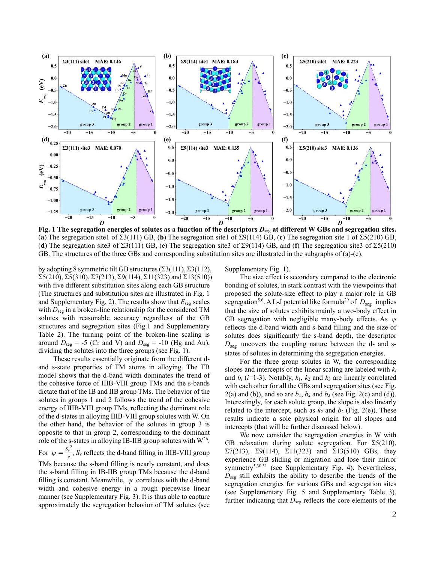

**Fig. 1 The segregation energies of solutes as a function of the descriptors** *D***seg at different W GBs and segregation sites.** (**a**) The segregation site1 of Σ3(111) GB, (**b**) The segregation site1 of Σ9(114) GB, (**c**) The segregation site 1 of Σ5(210) GB, (**d**) The segregation site3 of Σ3(111) GB, (**e**) The segregation site3 of Σ9(114) GB, and (**f**) The segregation site3 of Σ5(210) GB. The structures of the three GBs and corresponding substitution sites are illustrated in the subgraphs of (a)-(c).

by adopting 8 symmetric tilt GB structures  $(\Sigma 3(111), \Sigma 3(112))$ ,  $\Sigma$ 5(210),  $\Sigma$ 5(310),  $\Sigma$ 7(213),  $\Sigma$ 9(114),  $\Sigma$ 11(323) and  $\Sigma$ 13(510)) with five different substitution sites along each GB structure (The structures and substitution sites are illustrated in Fig. 1 and Supplementary Fig. 2). The results show that *E*seg scales with  $D_{seg}$  in a broken-line relationship for the considered TM solutes with reasonable accuracy regardless of the GB structures and segregation sites (Fig.1 and Supplementary Table 2). The turning point of the broken-line scaling is around  $D_{seg} = -5$  (Cr and V) and  $D_{seg} = -10$  (Hg and Au), dividing the solutes into the three groups (see Fig. 1).

These results essentially originate from the different dand s-state properties of TM atoms in alloying. The TB model shows that the d-band width dominates the trend of the cohesive force of IIIB-VIII group TMs and the s-bands dictate that of the IB and IIB group TMs. The behavior of the solutes in groups 1 and 2 follows the trend of the cohesive energy of IIIB-VIII group TMs, reflecting the dominant role of the d-states in alloying IIIB-VIII group solutes with W. On the other hand, the behavior of the solutes in group 3 is opposite to that in group 2, corresponding to the dominant role of the s-states in alloying IB-IIB group solutes with  $W^{26}$ . For  $\psi = \frac{S_v^2}{r^2}$  $\frac{\nu}{\chi}$ , *S*<sub>v</sub> reflects the d-band filling in IIIB-VIII group TMs because the s-band filling is nearly constant, and does the s-band filling in IB-IIB group TMs because the d-band filling is constant. Meanwhile, *ψ* correlates with the d-band width and cohesive energy in a rough piecewise linear manner (see Supplementary Fig. 3). It is thus able to capture

approximately the segregation behavior of TM solutes (see

Supplementary Fig. 1).

The size effect is secondary compared to the electronic bonding of solutes, in stark contrast with the viewpoints that proposed the solute-size effect to play a major role in GB segregation<sup>5,6</sup>. A L-J potential like formula<sup>29</sup> of  $D_{seg}$  implies that the size of solutes exhibits mainly a two-body effect in GB segregation with negligible many-body effects. As *ψ* reflects the d-band width and s-band filling and the size of solutes does significantly the s-band depth, the descriptor  $D_{\text{seg}}$  uncovers the coupling nature between the d- and sstates of solutes in determining the segregation energies.

For the three group solutes in W, the corresponding slopes and intercepts of the linear scaling are labeled with *k<sup>i</sup>* and  $b_i$  ( $i=1-3$ ). Notably,  $k_1$ ,  $k_2$  and  $k_3$  are linearly correlated with each other for all the GBs and segregation sites (see Fig.  $2(a)$  and (b)), and so are  $b_1$ ,  $b_2$  and  $b_3$  (see Fig. 2(c) and (d)). Interestingly, for each solute group, the slope is also linearly related to the intercept, such as  $k_2$  and  $b_2$  (Fig. 2(e)). These results indicate a sole physical origin for all slopes and intercepts (that will be further discussed below).

We now consider the segregation energies in W with GB relaxation during solute segregation. For  $\Sigma$ 5(210), Σ7(213), Σ9(114), Σ11(323) and Σ13(510) GBs, they experience GB sliding or migration and lose their mirror symmetry<sup>5,30,31</sup> (see Supplementary Fig. 4). Nevertheless, *D*seg still exhibits the ability to describe the trends of the segregation energies for various GBs and segregation sites (see Supplementary Fig. 5 and Supplementary Table 3), further indicating that  $D_{seg}$  reflects the core elements of the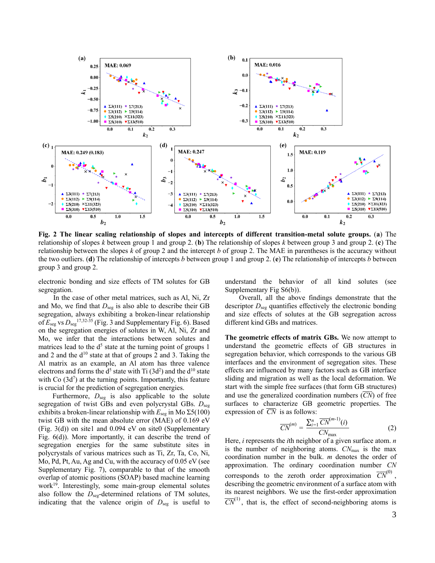

**Fig. 2 The linear scaling relationship of slopes and intercepts of different transition-metal solute groups.** (**a**) The relationship of slopes *k* between group 1 and group 2. (**b**) The relationship of slopes *k* between group 3 and group 2. (**c**) The relationship between the slopes *k* of group 2 and the intercept *b* of group 2. The MAE in parentheses is the accuracy without the two outliers. (**d**) The relationship of intercepts *b* between group 1 and group 2. (**e**) The relationship of intercepts *b* between group 3 and group 2.

electronic bonding and size effects of TM solutes for GB segregation.

In the case of other metal matrices, such as Al, Ni, Zr and Mo, we find that  $D_{seg}$  is also able to describe their GB segregation, always exhibiting a broken-linear relationship of  $E_{\text{seg}}$  vs  $D_{\text{seg}}$ <sup>17,32-35</sup> (Fig. 3 and Supplementary Fig. 6). Based on the segregation energies of solutes in W, Al, Ni, Zr and Mo, we infer that the interactions between solutes and matrices lead to the  $d^5$  state at the turning point of groups 1 and 2 and the  $d^{10}$  state at that of groups 2 and 3. Taking the Al matrix as an example, an Al atom has three valence electrons and forms the  $d^5$  state with Ti (3d<sup>2</sup>) and the  $d^{10}$  state with Co  $(3d<sup>7</sup>)$  at the turning points. Importantly, this feature is crucial for the prediction of segregation energies.

Furthermore,  $D_{\text{seg}}$  is also applicable to the solute segregation of twist GBs and even polycrystal GBs.  $D_{seg}$ exhibits a broken-linear relationship with  $E_{\text{seg}}$  in Mo  $\Sigma$ 5(100) twist GB with the mean absolute error (MAE) of 0.169 eV (Fig.  $3(d)$ ) on site1 and 0.094 eV on site0 (Supplementary Fig. 6(d)). More importantly, it can describe the trend of segregation energies for the same substitute sites in polycrystals of various matrices such as Ti, Zr, Ta, Co, Ni, Mo, Pd, Pt, Au, Ag and Cu, with the accuracy of 0.05 eV (see Supplementary Fig. 7), comparable to that of the smooth overlap of atomic positions (SOAP) based machine learning work<sup>19</sup>. Interestingly, some main-group elemental solutes also follow the *D*<sub>seg</sub>-determined relations of TM solutes, indicating that the valence origin of  $D_{\text{seg}}$  is useful to

understand the behavior of all kind solutes (see Supplementary Fig S6(b)).

Overall, all the above findings demonstrate that the descriptor  $D_{\text{seg}}$  quantifies effectively the electronic bonding and size effects of solutes at the GB segregation across different kind GBs and matrices.

**The geometric effects of matrix GBs.** We now attempt to understand the geometric effects of GB structures in segregation behavior, which corresponds to the various GB interfaces and the environment of segregation sites. These effects are influenced by many factors such as GB interface sliding and migration as well as the local deformation. We start with the simple free surfaces (that form GB structures) and use the generalized coordination numbers  $(\overline{CN})$  of free surfaces to characterize GB geometric properties. The expression of  $\overline{CN}$  is as follows:

$$
\overline{CN}^{(m)} = \frac{\sum_{i=1}^{n} \overline{CN}^{(m-1)}(i)}{CN_{\text{max}}} \tag{2}
$$

Here, *i* represents the *i*th neighbor of a given surface atom. *n* is the number of neighboring atoms. *CN*max is the max coordination number in the bulk. *m* denotes the order of approximation. The ordinary coordination number *CN*  corresponds to the zeroth order approximation  $\overline{CN}^{(0)}$ , describing the geometric environment of a surface atom with its nearest neighbors. We use the first-order approximation  $\overline{CN}^{(1)}$ , that is, the effect of second-neighboring atoms is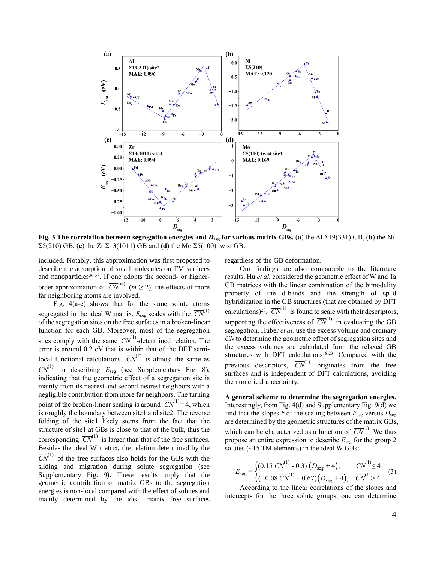

 $\Sigma$ 5(210) GB, (**c**) the Zr  $\Sigma$ 13(10 $\overline{1}$ 1) GB and (**d**) the Mo  $\Sigma$ 5(100) twist GB.

included. Notably, this approximation was first proposed to describe the adsorption of small molecules on TM surfaces and nanoparticles<sup>36,37</sup>. If one adopts the second- or higherorder approximation of  $\overline{CN}^{(m)}$  ( $m \ge 2$ ), the effects of more far neighboring atoms are involved.

Fig. 4(a-c) shows that for the same solute atoms segregated in the ideal W matrix,  $E_{seg}$  scales with the  $\overline{CN}^{(1)}$ of the segregation sites on the free surfaces in a broken-linear function for each GB. Moreover, most of the segregation sites comply with the same  $\overline{CN}^{(1)}$ -determined relation. The error is around 0.2 eV that is within that of the DFT semilocal functional calculations.  $\overline{CN}^{(2)}$  is almost the same as  $\overline{CN}^{(1)}$  in describing  $E_{\text{seg}}$  (see Supplementary Fig. 8), indicating that the geometric effect of a segregation site is mainly from its nearest and second-nearest neighbors with a negligible contribution from more far neighbors. The turning point of the broken-linear scaling is around  $\overline{CN}^{(1)}=4$ , which is roughly the boundary between site1 and site2. The reverse folding of the site1 likely stems from the fact that the structure of site1 at GBs is close to that of the bulk, thus the corresponding  $\overline{CN}^{(1)}$  is larger than that of the free surfaces. Besides the ideal W matrix, the relation determined by the  $\overline{CN}^{(1)}$  of the free surfaces also holds for the GBs with the sliding and migration during solute segregation (see Supplementary Fig. 9). These results imply that the geometric contribution of matrix GBs to the segregation energies is non-local compared with the effect of solutes and mainly determined by the ideal matrix free surfaces

regardless of the GB deformation.

Our findings are also comparable to the literature results. Hu *et al.* considered the geometric effect of W and Ta GB matrices with the linear combination of the bimodality property of the d-bands and the strength of sp–d hybridization in the GB structures (that are obtained by DFT calculations)<sup>20</sup>.  $\overline{CN}^{(1)}$  is found to scale with their descriptors, supporting the effectiveness of  $\overline{CN}^{(1)}$  in evaluating the GB segregation. Huber *et al.* use the excess volume and ordinary *CN* to determine the geometric effect of segregation sites and the excess volumes are calculated from the relaxed GB structures with DFT calculations<sup>18,23</sup>. Compared with the previous descriptors,  $\overline{CN}^{(1)}$  originates from the free surfaces and is independent of DFT calculations, avoiding the numerical uncertainty.

**A general scheme to determine the segregation energies.** Interestingly, from Fig. 4(d) and Supplementary Fig. 9(d) we find that the slopes  $k$  of the scaling between  $E_{\text{seg}}$  versus  $D_{\text{seg}}$ are determined by the geometric structures of the matrix GBs, which can be characterized as a function of  $\overline{CN}^{(1)}$ . We thus propose an entire expression to describe *E*seg for the group 2 solutes  $(\sim 15 \text{ TM}$  elements) in the ideal W GBs:

$$
E_{\text{seg}} = \begin{cases} (0.15 \ \overline{CN}^{(1)} - 0.3) \left( D_{\text{seg}} + 4 \right), & \overline{CN}^{(1)} \le 4 \\ (-0.08 \ \overline{CN}^{(1)} + 0.67) \left( D_{\text{seg}} + 4 \right), & \overline{CN}^{(1)} > 4 \end{cases} \tag{3}
$$

According to the linear correlations of the slopes and intercepts for the three solute groups, one can determine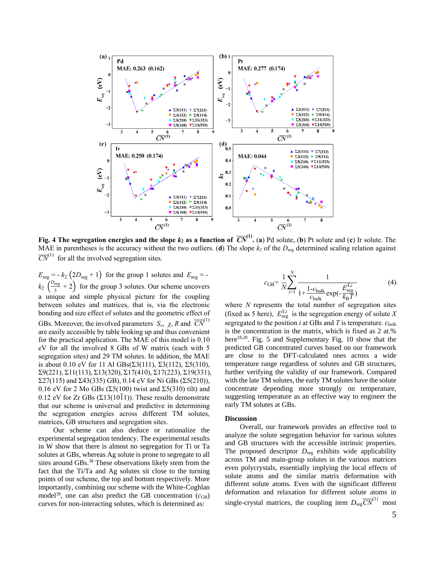

**Fig. 4** The segregation energies and the slope  $k_2$  as a function of  $\overline{CN}^{(1)}$ . (a) Pd solute, (b) Pt solute and (c) Ir solute. The MAE in parentheses is the accuracy without the two outliers. (**d**) The slope  $k_2$  of the  $D_{seg}$  determined scaling relation against  $\overline{CN}^{(1)}$  for all the involved segregation sites.

 $E_{\text{seg}} = -k_2 (2D_{\text{seg}} + 1)$  for the group 1 solutes and  $E_{\text{seg}} =$  $k_2 \left(\frac{D_{\text{seg}}}{3}\right)$  $\frac{\sec g}{3}$  + 2) for the group 3 solutes. Our scheme uncovers a unique and simple physical picture for the coupling between solutes and matrices, that is, via the electronic bonding and size effect of solutes and the geometric effect of GBs. Moreover, the involved parameters  $S_{\nu}$ ,  $\chi$ , R and  $\overline{CN}^{(1)}$ are easily accessible by table looking up and thus convenient for the practical application. The MAE of this model is 0.10 eV for all the involved 8 GBs of W matrix (each with 5 segregation sites) and 29 TM solutes. In addition, the MAE is about 0.10 eV for 11 Al  $GBs(Σ3(111), Σ3(112), Σ5(310),$ Σ9(221), Σ11(113), Σ13(320), Σ17(410), Σ17(223), Σ19(331),  $\Sigma$ 27(115) and Σ43(335) GB), 0.14 eV for Ni GBs (Σ5(210)), 0.16 eV for 2 Mo GBs ( $\Sigma$ 5(100) twist and  $\Sigma$ 5(310) tilt) and 0.12 eV for Zr GBs ( $\Sigma$ 13(10 $\overline{1}$ 1)). These results demonstrate that our scheme is universal and predictive in determining the segregation energies across different TM solutes, matrices, GB structures and segregation sites.

Our scheme can also deduce or rationalize the experimental segregation tendency. The experimental results in W show that there is almost no segregation for Ti or Ta solutes at GBs, whereas Ag solute is prone to segregate to all sites around GBs. <sup>38</sup> These observations likely stem from the fact that the Ti/Ta and Ag solutes sit close to the turning points of our scheme, the top and bottom respectively. More importantly, combining our scheme with the White-Coghlan model<sup>39</sup>, one can also predict the GB concentration  $(c_{GB})$ curves for non-interacting solutes, which is determined as:

$$
c_{GB} = \frac{1}{N} \sum_{i=1}^{N} \frac{1}{1 + \frac{1 - c_{bulk}}{c_{bulk}} \exp(-\frac{E_{seg}^{X,i}}{k_B T})}
$$
(4)

where *N* represents the total number of segregation sites (fixed as 5 here),  $E_{\text{seg}}^{X,i}$  is the segregation energy of solute *X* segregated to the position *i* at GBs and *T* is temperature. *c*bulk is the concentration in the matrix, which is fixed as 2 at.% here<sup>18,20</sup>. Fig. 5 and Supplementary Fig. 10 show that the predicted GB concentrated curves based on our framework are close to the DFT-calculated ones across a wide temperature range regardless of solutes and GB structures, further verifying the validity of our framework. Compared with the late TM solutes, the early TM solutes have the solute concentrate depending more strongly on temperature, suggesting temperature as an effective way to engineer the early TM solutes at GBs.

#### **Discussion**

Overall, our framework provides an effective tool to analyze the solute segregation behavior for various solutes and GB structures with the accessible intrinsic properties. The proposed descriptor  $D_{\text{seg}}$  exhibits wide applicability across TM and main-group solutes in the various matrices even polycrystals, essentially implying the local effects of solute atoms and the similar matrix deformation with different solute atoms. Even with the significant different deformation and relaxation for different solute atoms in single-crystal matrices, the coupling item  $D_{seg}$   $\overline{CN}^{(1)}$  most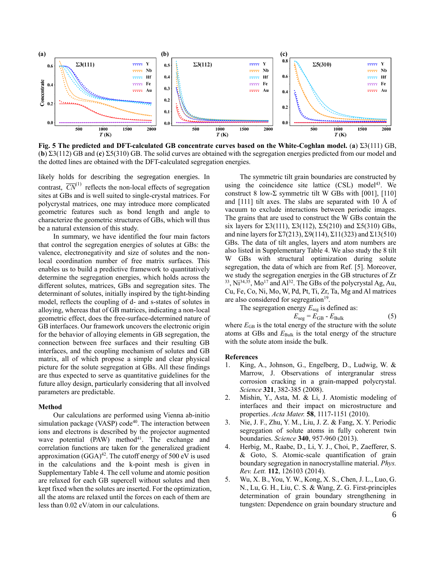

**Fig. 5 The predicted and DFT-calculated GB concentrate curves based on the White-Coghlan model.** (**a**) Σ3(111) GB, (**b**) Σ3(112) GB and (**c**) Σ5(310) GB. The solid curves are obtained with the segregation energies predicted from our model and the dotted lines are obtained with the DFT-calculated segregation energies.

likely holds for describing the segregation energies. In contrast,  $\overline{CN}^{(1)}$  reflects the non-local effects of segregation sites at GBs and is well suited to single-crystal matrices. For polycrystal matrices, one may introduce more complicated geometric features such as bond length and angle to characterize the geometric structures of GBs, which will thus be a natural extension of this study.

In summary, we have identified the four main factors that control the segregation energies of solutes at GBs: the valence, electronegativity and size of solutes and the nonlocal coordination number of free matrix surfaces. This enables us to build a predictive framework to quantitatively determine the segregation energies, which holds across the different solutes, matrices, GBs and segregation sites. The determinant of solutes, initially inspired by the tight-binding model, reflects the coupling of d- and s-states of solutes in alloying, whereas that of GB matrices, indicating a non-local geometric effect, does the free-surface-determined nature of GB interfaces. Our framework uncovers the electronic origin for the behavior of alloying elements in GB segregation, the connection between free surfaces and their resulting GB interfaces, and the coupling mechanism of solutes and GB matrix, all of which propose a simple and clear physical picture for the solute segregation at GBs. All these findings are thus expected to serve as quantitative guidelines for the future alloy design, particularly considering that all involved parameters are predictable.

# **Method**

Our calculations are performed using Vienna ab-initio simulation package (VASP) code<sup>40</sup>. The interaction between ions and electrons is described by the projector augmented wave potential (PAW) method<sup>41</sup>. The exchange and correlation functions are taken for the generalized gradient approximation  $(GGA)^{42}$ . The cutoff energy of 500 eV is used in the calculations and the k-point mesh is given in Supplementary Table 4. The cell volume and atomic position are relaxed for each GB supercell without solutes and then kept fixed when the solutes are inserted. For the optimization, all the atoms are relaxed until the forces on each of them are less than 0.02 eV/atom in our calculations.

The symmetric tilt grain boundaries are constructed by using the coincidence site lattice  $(CSL)$  model<sup>43</sup>. We construct 8 low-Σ symmetric tilt W GBs with [001], [110] and [111] tilt axes. The slabs are separated with 10 Å of vacuum to exclude interactions between periodic images. The grains that are used to construct the W GBs contain the six layers for  $\Sigma$ 3(111),  $\Sigma$ 3(112),  $\Sigma$ 5(210) and  $\Sigma$ 5(310) GBs, and nine layers for  $\Sigma$ 7(213),  $\Sigma$ 9(114),  $\Sigma$ 11(323) and  $\Sigma$ 13(510) GBs. The data of tilt angles, layers and atom numbers are also listed in Supplementary Table 4. We also study the 8 tilt W GBs with structural optimization during solute segregation, the data of which are from Ref. [5]. Moreover, we study the segregation energies in the GB structures of Zr <sup>33</sup>, Ni<sup>34,35</sup>, Mo<sup>17</sup> and Al<sup>32</sup>. The GBs of the polycrystal Ag, Au, Cu, Fe, Co, Ni, Mo, W, Pd, Pt, Ti, Zr, Ta, Mg and Al matrices are also considered for segregation<sup>19</sup>.

The segregation energy  $E_{\text{seg}}$  is defined as:

$$
E_{\text{seg}} = E_{\text{GB}} - E_{\text{Bulk}} \tag{5}
$$

where  $E_{GB}$  is the total energy of the structure with the solute atoms at GBs and  $E_{\text{Bulk}}$  is the total energy of the structure with the solute atom inside the bulk.

## **References**

- 1. King, A., Johnson, G., Engelberg, D., Ludwig, W. & Marrow, J. Observations of intergranular stress corrosion cracking in a grain-mapped polycrystal. *Science* **321**, 382-385 (2008).
- 2. Mishin, Y., Asta, M. & Li, J. Atomistic modeling of interfaces and their impact on microstructure and properties. *Acta Mater.* **58**, 1117-1151 (2010).
- 3. Nie, J. F., Zhu, Y. M., Liu, J. Z. & Fang, X. Y. Periodic segregation of solute atoms in fully coherent twin boundaries. *Science* **340**, 957-960 (2013).
- 4. Herbig, M., Raabe, D., Li, Y. J., Choi, P., Zaefferer, S. & Goto, S. Atomic-scale quantification of grain boundary segregation in nanocrystalline material. *Phys. Rev. Lett.* **112**, 126103 (2014).
- 5. Wu, X. B., You, Y. W., Kong, X. S., Chen, J. L., Luo, G. N., Lu, G. H., Liu, C. S. & Wang, Z. G. First-principles determination of grain boundary strengthening in tungsten: Dependence on grain boundary structure and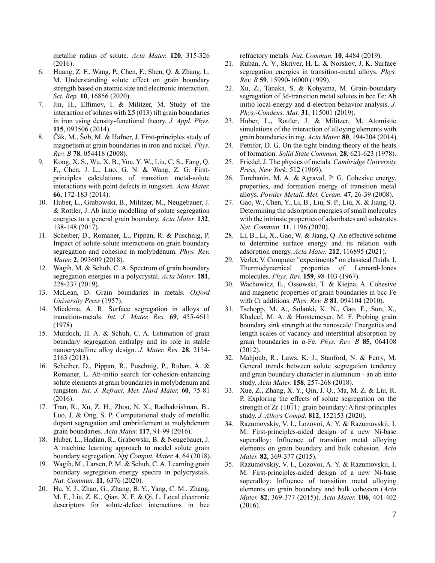metallic radius of solute. *Acta Mater.* **120**, 315-326 (2016).

- 6. Huang, Z. F., Wang, P., Chen, F., Shen, Q. & Zhang, L. M. Understanding solute effect on grain boundary strength based on atomic size and electronic interaction. *Sci. Rep.* **10**, 16856 (2020).
- 7. Jin, H., Elfimov, I. & Militzer, M. Study of the interaction of solutes with  $\Sigma$ 5 (013) tilt grain boundaries in iron using density-functional theory. *J. Appl. Phys.* **115**, 093506 (2014).
- 8. Čák, M., Šob, M. & Hafner, J. First-principles study of magnetism at grain boundaries in iron and nickel. *Phys. Rev. B* **78**, 054418 (2008).
- 9. Kong, X. S., Wu, X. B., You, Y. W., Liu, C. S., Fang, Q. F., Chen, J. L., Luo, G. N. & Wang, Z. G. Firstprinciples calculations of transition metal-solute interactions with point defects in tungsten. *Acta Mater.* **66**, 172-183 (2014).
- 10. Huber, L., Grabowski, B., Militzer, M., Neugebauer, J. & Rottler, J. Ab initio modelling of solute segregation energies to a general grain boundary. *Acta Mater.* **132**, 138-148 (2017).
- 11. Scheiber, D., Romaner, L., Pippan, R. & Puschnig, P. Impact of solute-solute interactions on grain boundary segregation and cohesion in molybdenum. *Phys. Rev. Mater.* **2**, 093609 (2018).
- 12. Wagih, M. & Schuh, C. A. Spectrum of grain boundary segregation energies in a polycrystal. *Acta Mater.* **181**, 228-237 (2019).
- 13. McLean, D. Grain boundaries in metals. *Oxford University Press* (1957).
- 14. Miedema, A. R. Surface segregation in alloys of transition-metals. *Int. J. Mater. Res.* **69**, 455-4611 (1978).
- 15. Murdoch, H. A. & Schuh, C. A. Estimation of grain boundary segregation enthalpy and its role in stable nanocrystalline alloy design. *J. Mater. Res.* **28**, 2154- 2163 (2013).
- 16. Scheiber, D., Pippan, R., Puschnig, P., Ruban, A. & Romaner, L. Ab-initio search for cohesion-enhancing solute elements at grain boundaries in molybdenum and tungsten. *Int. J. Refract. Met. Hard Mater.* **60**, 75-81 (2016).
- 17. Tran, R., Xu, Z. H., Zhou, N. X., Radhakrishnan, B., Luo, J. & Ong, S. P. Computational study of metallic dopant segregation and embrittlement at molybdenum grain boundaries. *Acta Mater.* **117**, 91-99 (2016).
- 18. Huber, L., Hadian, R., Grabowski, B. & Neugebauer, J. A machine learning approach to model solute grain boundary segregation. *Npj Comput. Mater.* **4**, 64 (2018).
- 19. Wagih, M., Larsen, P. M. & Schuh, C. A. Learning grain boundary segregation energy spectra in polycrystals. *Nat. Commun.* **11**, 6376 (2020).
- 20. Hu, Y. J., Zhao, G., Zhang, B. Y., Yang, C. M., Zhang, M. F., Liu, Z. K., Qian, X. F. & Qi, L. Local electronic descriptors for solute-defect interactions in bcc

refractory metals. *Nat. Commun.* **10**, 4484 (2019).

- 21. Ruban, A. V., Skriver, H. L. & Norskov, J. K. Surface segregation energies in transition-metal alloys. *Phys. Rev. B* **59**, 15990-16000 (1999).
- 22. Xu, Z., Tanaka, S. & Kohyama, M. Grain-boundary segregation of 3d-transition metal solutes in bcc Fe: Ab initio local-energy and d-electron behavior analysis. *J. Phys.-Condens. Mat.* **31**, 115001 (2019).
- 23. Huber, L., Rottler, J. & Militzer, M. Atomistic simulations of the interaction of alloying elements with grain boundaries in mg. *Acta Mater.* **80**, 194-204 (2014).
- 24. Pettifor, D. G. On the tight binding theory of the heats of formation. *Solid State Commun.* **28**, 621-623 (1978).
- 25. Friedel, J. The physics of metals. *Cambridge University Press, New York*, 512 (1969).
- 26. Turchanin, M. A. & Agraval, P. G. Cohesive energy, properties, and formation energy of transition metal alloys. *Powder Metall. Met. Ceram.* **47**, 26-39 (2008).
- 27. Gao, W., Chen, Y., Li, B., Liu, S. P., Liu, X. & Jiang, Q. Determining the adsorption energies of small molecules with the intrinsic properties of adsorbates and substrates. *Nat. Commun.* **11**, 1196 (2020).
- 28. Li, B., Li, X., Gao, W. & Jiang, Q. An effective scheme to determine surface energy and its relation with adsorption energy. *Acta Mater.* **212**, 116895 (2021).
- 29. Verlet, V. Computer "experiments" on classical fluids. I. Thermodynamical properties of Lennard-Jones molecules. *Phys. Rev.* **159**, 98-103 (1967).
- 30. Wachowicz, E., Ossowski, T. & Kiejna, A. Cohesive and magnetic properties of grain boundaries in bcc Fe with Cr additions. *Phys. Rev. B* **81**, 094104 (2010).
- 31. Tschopp, M. A., Solanki, K. N., Gao, F., Sun, X., Khaleel, M. A. & Horstemeyer, M. F. Probing grain boundary sink strength at the nanoscale: Energetics and length scales of vacancy and interstitial absorption by grain boundaries in α-Fe. *Phys. Rev. B* **85**, 064108 (2012).
- 32. Mahjoub, R., Laws, K. J., Stanford, N. & Ferry, M. General trends between solute segregation tendency and grain boundary character in aluminum - an ab inito study. *Acta Mater.* **158**, 257-268 (2018).
- 33. Xue, Z., Zhang, X. Y., Qin, J. Q., Ma, M. Z. & Liu, R. P. Exploring the effects of solute segregation on the strength of  $Zr \{10\overline{1}1\}$  grain boundary: A first-principles study. *J. Alloys Compd.* **812**, 152153 (2020).
- 34. Razumovskiy, V. I., Lozovoi, A. Y. & Razumovskii, I. M. First-principles-aided design of a new Ni-base superalloy: Influence of transition metal alloying elements on grain boundary and bulk cohesion. *Acta Mater.* **82**, 369-377 (2015).
- 35. Razumovskiy, V. I., Lozovoi, A. Y. & Razumovskii, I. M. First-principles-aided design of a new Ni-base superalloy: Influence of transition metal alloying elements on grain boundary and bulk cohesion (*Acta Mater.* **82**, 369-377 (2015)). *Acta Mater.* **106**, 401-402 (2016).